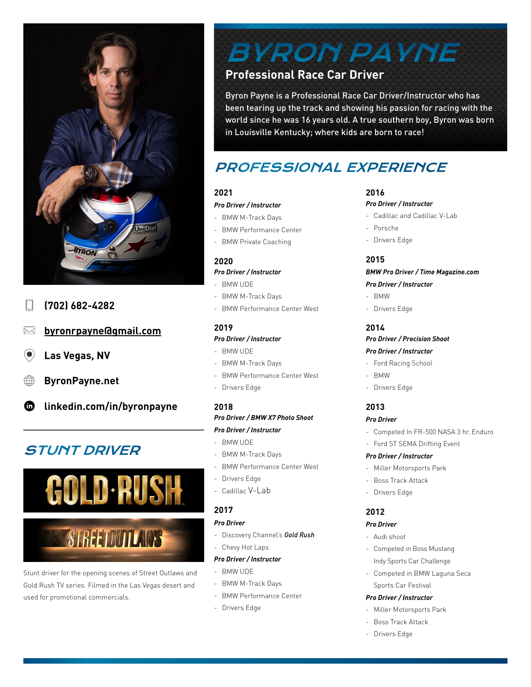

- **(702) 682-4282**
- **[byronrpayne@gmail.com](mailto:byronpayne%40gmail.com?subject=)**  $\boxtimes$
- $(\bullet)$ **Las Vegas, NV**
- **[ByronPayne.net](http://byronpayne.net/)**
- **[linkedin.com/in/byronpayne](https://www.linkedin.com/in/byronpayne/)** ⊕

# STUNT DRIVER



# **STREEDUTLAWS**

Stunt driver for the opening scenes of Street Outlaws and Gold Rush TV series. Filmed in the Las Vegas desert and used for promotional commercials.

# BYRON PAYNE

# **Professional Race Car Driver**

Byron Payne is a Professional Race Car Driver/Instructor who has been tearing up the track and showing his passion for racing with the world since he was 16 years old. A true southern boy, Byron was born in Louisville Kentucky; where kids are born to race!

# PROFESSIONAL EXPERIENCE

# **2021**

#### *Pro Driver / Instructor*

- BMW M-Track Days
- BMW Performance Center
- BMW Private Coaching

# **2020**

# *Pro Driver / Instructor*

- BMW UDE
- BMW M-Track Days
- BMW Performance Center West

# **2019**

# *Pro Driver / Instructor*

- BMW UDE
- BMW M-Track Days
- BMW Performance Center West
- Drivers Edge

# **2018**

# *Pro Driver / BMW X7 Photo Shoot*

# *Pro Driver / Instructor*

- BMW UDE
- BMW M-Track Days
- BMW Performance Center West
- Drivers Edge
- Cadillac V-Lab

# **2017**

#### *Pro Driver*

- Discovery Channel's *Gold Rush*
- Chevy Hot Laps

#### *Pro Driver / Instructor*

- BMW UDE
- BMW M-Track Days
- BMW Performance Center
- Drivers Edge

# **2016**

#### *Pro Driver / Instructor*

- Cadillac and Cadillac V-Lab
- Porsche
- Drivers Edge

# **2015**

#### *BMW Pro Driver / Time Magazine.com Pro Driver / Instructor*

- BMW
- Drivers Edge

# **2014**

# *Pro Driver / Precision Shoot*

# *Pro Driver / Instructor*

- Ford Racing School
- BMW
- Drivers Edge

# **2013**

## *Pro Driver*

- Competed In FR-500 NASA 3 hr. Enduro

# - Ford ST SEMA Drifting Event

#### *Pro Driver / Instructor*

- Miller Motorsports Park
- Boss Track Attack
- Drivers Edge

# **2012**

# *Pro Driver*

- Audi shoot
- Competed in Boss Mustang Indy Sports Car Challenge
- Competed in BMW Laguna Seca Sports Car Festival

#### *Pro Driver / Instructor*

- Miller Motorsports Park
- Boss Track Attack
- Drivers Edge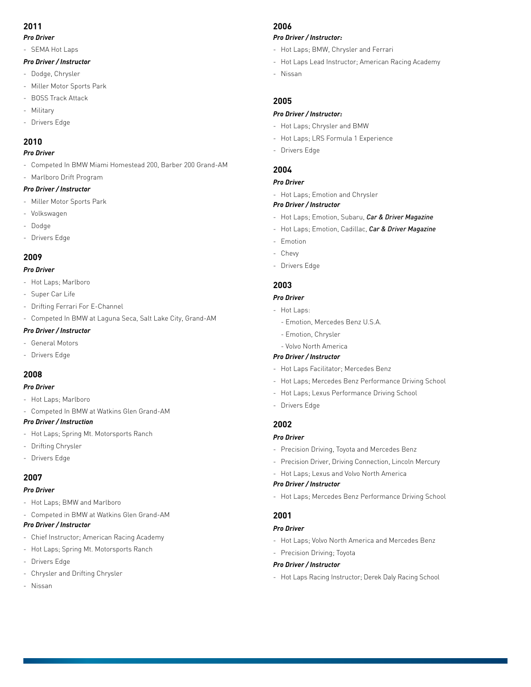# **2011**

#### *Pro Driver*

- SEMA Hot Laps

#### *Pro Driver / Instructor*

- Dodge, Chrysler
- Miller Motor Sports Park
- BOSS Track Attack
- Military
- Drivers Edge

# **2010**

#### *Pro Driver*

- Competed In BMW Miami Homestead 200, Barber 200 Grand-AM
- Marlboro Drift Program

#### *Pro Driver / Instructor*

- Miller Motor Sports Park
- Volkswagen
- Dodge
- Drivers Edge

# **2009**

# *Pro Driver*

- Hot Laps; Marlboro
- Super Car Life
- Drifting Ferrari For E-Channel
- Competed In BMW at Laguna Seca, Salt Lake City, Grand-AM

# *Pro Driver / Instructor*

- General Motors
- Drivers Edge

# **2008**

- *Pro Driver*
- Hot Laps; Marlboro
- Competed In BMW at Watkins Glen Grand-AM

# *Pro Driver / Instruction*

- Hot Laps; Spring Mt. Motorsports Ranch
- Drifting Chrysler
- Drivers Edge

# **2007**

#### *Pro Driver*

- Hot Laps; BMW and Marlboro
- Competed in BMW at Watkins Glen Grand-AM

#### *Pro Driver / Instructor*

- Chief Instructor; American Racing Academy
- Hot Laps; Spring Mt. Motorsports Ranch
- Drivers Edge
- Chrysler and Drifting Chrysler
- Nissan

# **2006**

#### *Pro Driver / Instructor:*

- Hot Laps; BMW, Chrysler and Ferrari
- Hot Laps Lead Instructor; American Racing Academy
- Nissan

# **2005**

# *Pro Driver / Instructor:*

- Hot Laps; Chrysler and BMW
- Hot Laps; LRS Formula 1 Experience
- Drivers Edge

#### **2004**

#### *Pro Driver*

- Hot Laps; Emotion and Chrysler

## *Pro Driver / Instructor*

- Hot Laps; Emotion, Subaru, *Car & Driver Magazine*
- Hot Laps; Emotion, Cadillac, *Car & Driver Magazine*
- Emotion
- Chevy
- Drivers Edge

# **2003**

# *Pro Driver*

- Hot Laps:
	- Emotion, Mercedes Benz U.S.A.
	- Emotion, Chrysler
- Volvo North America

# *Pro Driver / Instructor*

- Hot Laps Facilitator; Mercedes Benz
- Hot Laps; Mercedes Benz Performance Driving School
- Hot Laps; Lexus Performance Driving School
- Drivers Edge

# **2002**

#### *Pro Driver*

- Precision Driving, Toyota and Mercedes Benz
- Precision Driver, Driving Connection, Lincoln Mercury
- Hot Laps; Lexus and Volvo North America

## *Pro Driver / Instructor*

- Hot Laps; Mercedes Benz Performance Driving School

# **2001**

# *Pro Driver*

- Hot Laps; Volvo North America and Mercedes Benz
- Precision Driving; Toyota

#### *Pro Driver / Instructor*

- Hot Laps Racing Instructor; Derek Daly Racing School